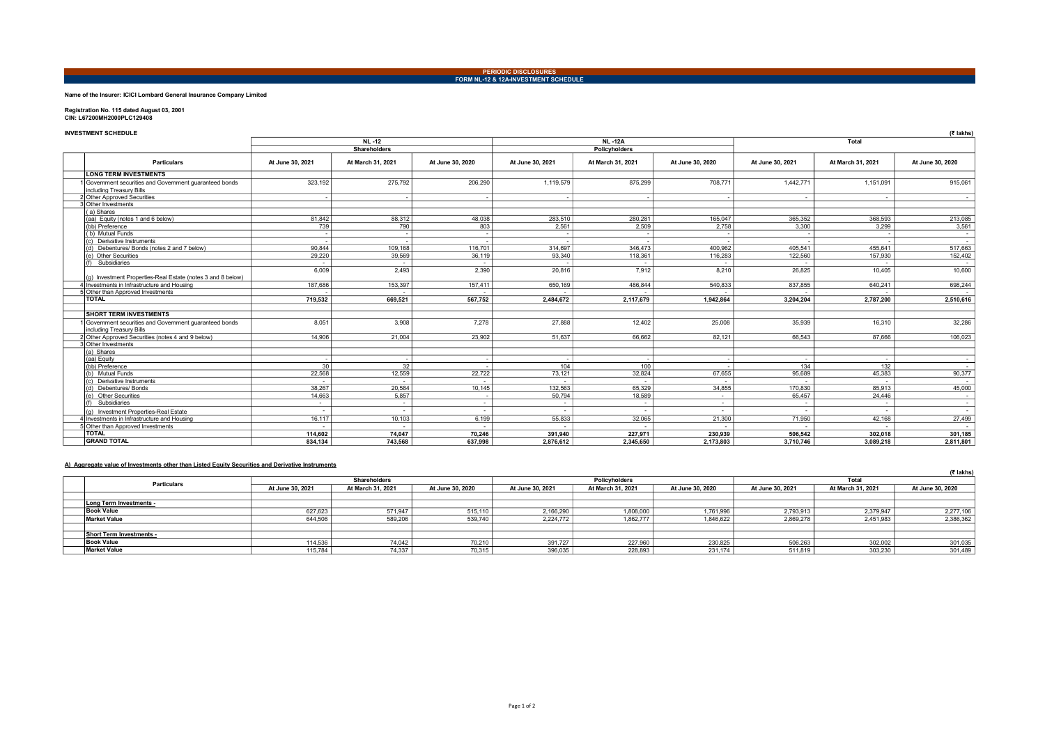# PERIODIC DISCLOSURES FORM NL-12 & 12A-INVESTMENT SCHEDULE

# Name of the Insurer: ICICI Lombard General Insurance Company Limited

Registration No. 115 dated August 03, 2001 CIN: L67200MH2000PLC129408

| <b>INVESTMENT SCHEDULE</b>                                                        |                  |                          |                  |                  |                          |                          |                  |                   | (₹ lakhs)        |  |
|-----------------------------------------------------------------------------------|------------------|--------------------------|------------------|------------------|--------------------------|--------------------------|------------------|-------------------|------------------|--|
|                                                                                   |                  | <b>NL-12</b>             |                  |                  | <b>NL-12A</b>            |                          |                  | Total             |                  |  |
|                                                                                   |                  | <b>Shareholders</b>      |                  |                  | <b>Policyholders</b>     |                          |                  |                   |                  |  |
| <b>Particulars</b>                                                                | At June 30, 2021 | At March 31, 2021        | At June 30, 2020 | At June 30, 2021 | At March 31, 2021        | At June 30, 2020         | At June 30, 2021 | At March 31, 2021 | At June 30, 2020 |  |
| <b>LONG TERM INVESTMENTS</b>                                                      |                  |                          |                  |                  |                          |                          |                  |                   |                  |  |
| Government securities and Government guaranteed bonds<br>including Treasury Bills | 323,192          | 275,792                  | 206,290          | 1,119,579        | 875.299                  | 708,771                  | 1,442,771        | 1,151,091         | 915.061          |  |
| 2 Other Approved Securities                                                       |                  |                          |                  |                  |                          |                          |                  | $\sim$            | $\sim$           |  |
| Other Investments                                                                 |                  |                          |                  |                  |                          |                          |                  |                   |                  |  |
| (a) Shares                                                                        |                  |                          |                  |                  |                          |                          |                  |                   |                  |  |
| (aa) Equity (notes 1 and 6 below)                                                 | 81.842           | 88.312                   | 48,038           | 283,510          | 280.281                  | 165.047                  | 365,352          | 368,593           | 213,085          |  |
| (bb) Preference                                                                   | 739              | 790                      | 803              | 2.561            | 2.509                    | 2.758                    | 3,300            | 3.299             | 3.561            |  |
| (b) Mutual Funds                                                                  |                  | $\overline{\phantom{a}}$ |                  |                  |                          |                          |                  |                   | $\sim$           |  |
| (c) Derivative Instruments                                                        |                  |                          |                  |                  |                          |                          |                  |                   | $\sim$           |  |
| (d) Debentures/ Bonds (notes 2 and 7 below)                                       | 90.844           | 109,168                  | 116,701          | 314.697          | 346.473                  | 400.962                  | 405.541          | 455.641           | 517,663          |  |
| (e) Other Securities                                                              | 29,220           | 39,569                   | 36,119           | 93,340           | 118,361                  | 116,283                  | 122,560          | 157,930           | 152,402          |  |
| Subsidiaries                                                                      | $\sim$           |                          | $\sim$           |                  | $\overline{\phantom{a}}$ |                          |                  |                   | $\sim$           |  |
|                                                                                   | 6,009            | 2,493                    | 2,390            | 20,816           | 7.912                    | 8,210                    | 26,825           | 10,405            | 10,600           |  |
| (a) Investment Properties-Real Estate (notes 3 and 8 below)                       |                  |                          |                  |                  |                          |                          |                  |                   |                  |  |
| 4 Investments in Infrastructure and Housing                                       | 187,686          | 153,397                  | 157,411          | 650.169          | 486.844                  | 540.833                  | 837,855          | 640.241           | 698.244          |  |
| 5 Other than Approved Investments                                                 |                  |                          |                  |                  |                          |                          |                  |                   | $\sim$           |  |
| <b>TOTAL</b>                                                                      | 719.532          | 669.521                  | 567.752          | 2.484.672        | 2,117,679                | 1.942.864                | 3.204.204        | 2,787,200         | 2,510,616        |  |
|                                                                                   |                  |                          |                  |                  |                          |                          |                  |                   |                  |  |
| <b>SHORT TERM INVESTMENTS</b>                                                     |                  |                          |                  |                  |                          |                          |                  |                   |                  |  |
| Government securities and Government guaranteed bonds<br>including Treasury Bills | 8.051            | 3.908                    | 7.278            | 27,888           | 12.402                   | 25,008                   | 35,939           | 16.310            | 32,286           |  |
| 2 Other Approved Securities (notes 4 and 9 below)                                 | 14.906           | 21.004                   | 23,902           | 51.637           | 66.662                   | 82,121                   | 66.543           | 87.666            | 106,023          |  |
| 3 Other Investments                                                               |                  |                          |                  |                  |                          |                          |                  |                   |                  |  |
| (a) Shares                                                                        |                  |                          |                  |                  |                          |                          |                  |                   |                  |  |
| (aa) Equity                                                                       |                  | $\overline{\phantom{a}}$ | - 1              |                  |                          | . .                      | $\sim$           | $\sim$            | $\sim$           |  |
| (bb) Preference                                                                   | 30               | 32                       |                  | 104              | 100                      |                          | 134              | 132               | $\sim$           |  |
| (b) Mutual Funds                                                                  | 22.568           | 12,559                   | 22,722           | 73,121           | 32,824                   | 67,655                   | 95.689           | 45,383            | 90,377           |  |
| (c) Derivative Instruments                                                        | $\sim$           | $\sim$                   | $\sim$           |                  | $\sim$                   | $\sim$                   |                  | $\sim$            | $\sim$ 100 $\mu$ |  |
| (d) Debentures/Bonds                                                              | 38,267           | 20,584                   | 10,145           | 132,563          | 65,329                   | 34,855                   | 170,830          | 85,913            | 45,000           |  |
| (e) Other Securities                                                              | 14.663           | 5.857                    |                  | 50.794           | 18.589                   | $\sim$                   | 65.457           | 24.446            | $\sim$           |  |
| (f) Subsidiaries                                                                  | $\sim$           | $\sim$                   | $\sim$           |                  |                          | $\overline{\phantom{a}}$ |                  | $\sim$            | $\sim$           |  |
| (a) Investment Properties-Real Estate                                             | $\sim$           | $\sim$                   | $\sim$           |                  |                          | $\overline{a}$           |                  | $\sim$            | $\sim$           |  |
| 4 Investments in Infrastructure and Housing                                       | 16.117           | 10.103                   | 6.199            | 55,833           | 32.065                   | 21,300                   | 71.950           | 42,168            | 27,499           |  |
| 5 Other than Approved Investments                                                 | $\sim$           |                          |                  |                  |                          |                          |                  |                   |                  |  |
| <b>TOTAL</b>                                                                      | 114.602          | 74,047                   | 70,246           | 391.940          | 227.971                  | 230.939                  | 506,542          | 302.018           | 301.185          |  |
| <b>GRAND TOTAL</b>                                                                | 834.134          | 743.568                  | 637.998          | 2.876.612        | 2.345.650                | 2.173.803                | 3.710.746        | 3.089.218         | 2.811.801        |  |

# A) Aggregate value of Investments other than Listed Equity Securities and Derivative Instruments

| <u>Al Aggregate value of investments other than Eisted Equity occurries and Derivative instruments</u> |                          |                     |                   |                  |                      |                   |                  |                  |                   |                  |
|--------------------------------------------------------------------------------------------------------|--------------------------|---------------------|-------------------|------------------|----------------------|-------------------|------------------|------------------|-------------------|------------------|
|                                                                                                        |                          |                     |                   |                  |                      |                   |                  |                  |                   | (₹ lakhs)        |
|                                                                                                        | <b>Particulars</b>       | <b>Shareholders</b> |                   |                  | <b>Policyholders</b> |                   |                  | Total            |                   |                  |
|                                                                                                        |                          | At June 30, 2021    | At March 31, 2021 | At June 30, 2020 | At June 30, 2021     | At March 31, 2021 | At June 30, 2020 | At June 30, 2021 | At March 31, 2021 | At June 30, 2020 |
|                                                                                                        |                          |                     |                   |                  |                      |                   |                  |                  |                   |                  |
|                                                                                                        | Long Term Investments -  |                     |                   |                  |                      |                   |                  |                  |                   |                  |
|                                                                                                        | <b>Book Value</b>        | 627,623             | 571,947           | 515,110          | 2,166,290            | 1,808,000         | 1,761,996        | 2,793,913        | 2,379,947         | 2,277,106        |
|                                                                                                        | <b>Market Value</b>      | 644,506             | 589,206           | 539,740          | 2.224.772            | 1,862,777         | 1.846.622        | 2,869,278        | 2,451,983         | 2,386,362        |
|                                                                                                        |                          |                     |                   |                  |                      |                   |                  |                  |                   |                  |
|                                                                                                        | Short Term Investments - |                     |                   |                  |                      |                   |                  |                  |                   |                  |
|                                                                                                        | <b>Book Value</b>        | 114.536             | 74.042            | 70,210           | 391.727              | 227,960           | 230,825          | 506,263          | 302.002           | 301,035          |
|                                                                                                        | <b>Market Value</b>      | 115,784             | 74,337            | 70,315           | 396,035              | 228,893           | 231,174          | 511,819          | 303,230           | 301,489          |